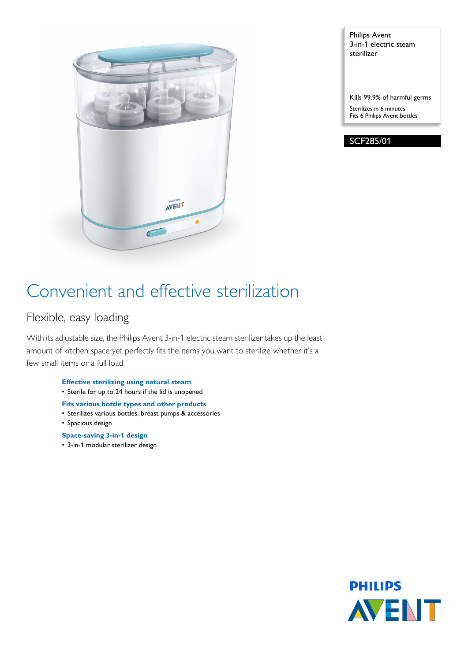

Philips Avent 3-in-1 electric steam sterilizer

Kills 99.9% of harmful germs

Sterilizes in 6 minutes Fits 6 Philips Avent bottles

SCF285/01

## Convenient and effective sterilization

### Flexible, easy loading

With its adjustable size, the Philips Avent 3-in-1 electric steam sterilizer takes up the least amount of kitchen space yet perfectly fits the items you want to sterilize whether it's a few small items or a full load.

#### **Effective sterilizing using natural steam**

• Sterile for up to 24 hours if the lid is unopened

#### **Fits various bottle types and other products**

- Sterilizes various bottles, breast pumps & accessories
- Spacious design

### **Space-saving 3-in-1 design**

• 3-in-1 modular sterilizer design